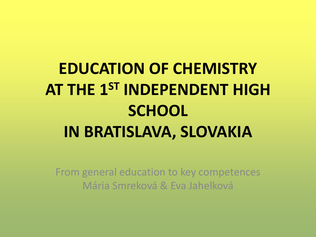# **EDUCATION OF CHEMISTRY AT THE 1ST INDEPENDENT HIGH SCHOOL IN BRATISLAVA, SLOVAKIA**

From general education to key competences Mária Smreková & Eva Jahelková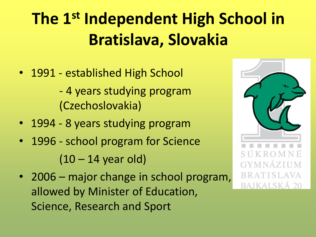# **The 1st Independent High School in Bratislava, Slovakia**

- 1991 established High School - 4 years studying program (Czechoslovakia)
- 1994 8 years studying program
- 1996 school program for Science  $(10 - 14$  year old)
- 2006 major change in school program, allowed by Minister of Education, Science, Research and Sport

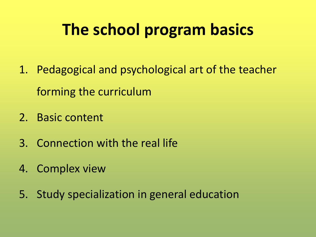# **The school program basics**

- 1. Pedagogical and psychological art of the teacher forming the curriculum
- 2. Basic content
- 3. Connection with the real life
- 4. Complex view
- 5. Study specialization in general education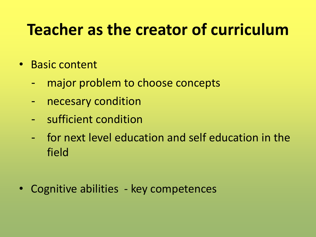## **Teacher as the creator of curriculum**

- Basic content
	- major problem to choose concepts
	- necesary condition
	- sufficient condition
	- for next level education and self education in the field
- Cognitive abilities key competences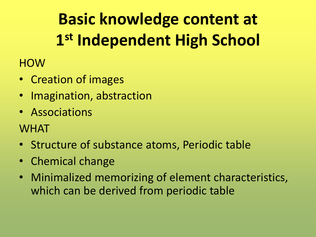# **Basic knowledge content at 1 st Independent High School**

**HOW** 

- Creation of images
- Imagination, abstraction
- Associations
- **WHAT**
- Structure of substance atoms, Periodic table
- Chemical change
- Minimalized memorizing of element characteristics, which can be derived from periodic table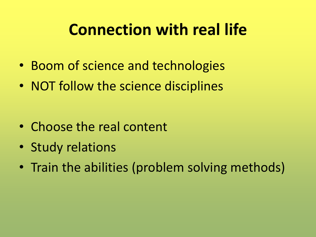### **Connection with real life**

- Boom of science and technologies
- NOT follow the science disciplines

- Choose the real content
- Study relations
- Train the abilities (problem solving methods)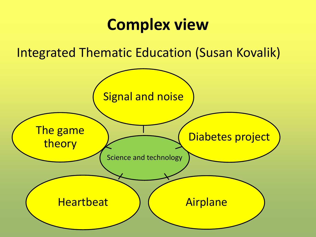#### **Complex view**

Integrated Thematic Education (Susan Kovalik)

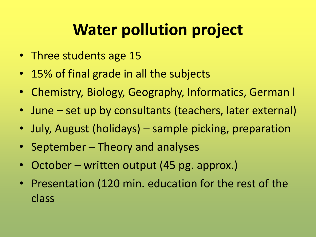# **Water pollution project**

- Three students age 15
- 15% of final grade in all the subjects
- Chemistry, Biology, Geography, Informatics, German l
- June set up by consultants (teachers, later external)
- July, August (holidays) sample picking, preparation
- September Theory and analyses
- October written output (45 pg. approx.)
- Presentation (120 min. education for the rest of the class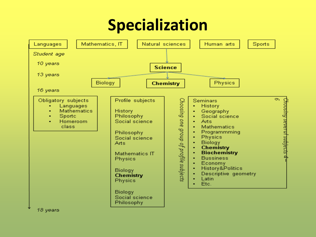### **Specialization**



18 years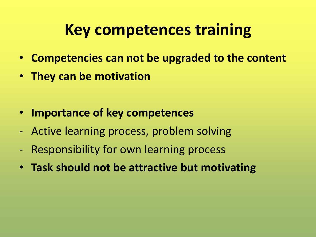### **Key competences training**

- **Competencies can not be upgraded to the content**
- **They can be motivation**
- **Importance of key competences**
- Active learning process, problem solving
- Responsibility for own learning process
- **Task should not be attractive but motivating**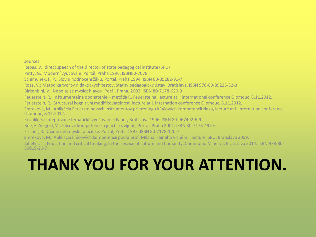sources:

Repas, V.: direct speech of the director of state pedagogical institute (SPU)

Petty, G.: Moderní vyučování, Portál, Praha 1996. ISBN80-7078

Schimunek, F. P.: Slovní hodnocení žáku, Portál, Praha 1994. ISBN 80-85282-91-7

Rosa, V.: Metodika tvorby didaktických testov, Štátny pedagogický ústav, Bratislava. ISBN 978-80-89225-32-3

Birkenbihl, V.: Nebojte se myslet hlavou, Potál, Praha, 2002. ISBN 80-7178-620-9

Feuerstein, R.: Inštrumentálne obohatenie – metóda R. Feuersteina, lecture at I. international conference Olomouc, 8.11.2012.

Feuerstein, R.: Structural kognitívní modifikovatelnost, lecture at I. internation conference Olomouc, 8.11.2012.

Smreková, M.: Aplikácia Feuersteinových inštrumentov pri tréningu kľúčových kompetencií žiaka, lecture at I. internation conference Olomouc, 8.11.2012.

Kovalik, S.: Integrované tematické vyučovanie, Faber, Bratislava 1996. ISBN 80-967492-6-9

Belz,H.,Siegrist,M.: Klíčové kompetence a jejich rozvíjení., Portál, Praha 2001. ISBN 80-7178-497-6

Fischer, R.: Učíme deti myslet a učit se. Portál, Praha 1997. ISBN 80-7178-120-7

Smreková, M.: Aplikácia kľúčových kompetencií podľa prof. Milana Hejného v chémii, lecture, ŠPU, Bratislava 2009.

Jahelka, T.: Education and critical thinking, In the service of culture and humanity, Communio Minerva, Bratislava 2014. ISBN 978-80- 89019-26-7

### **THANK YOU FOR YOUR ATTENTION.**